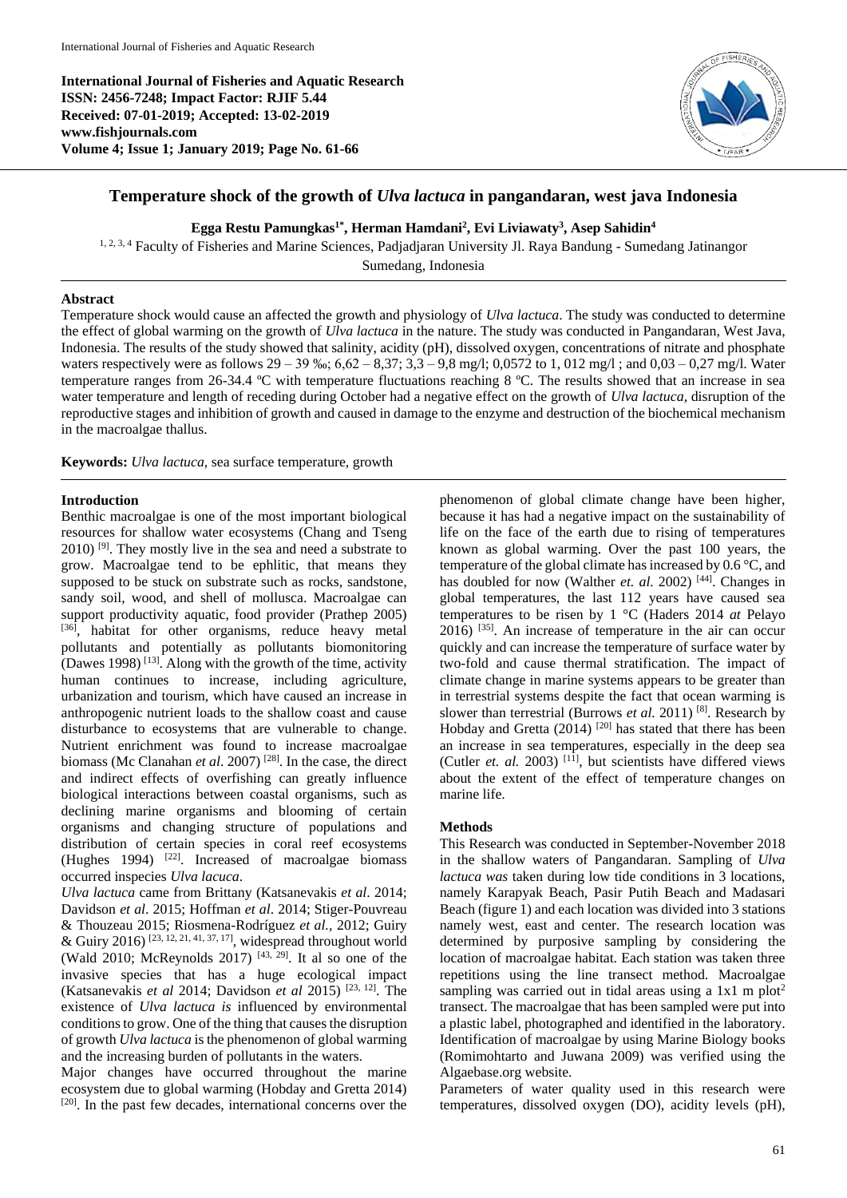**International Journal of Fisheries and Aquatic Research ISSN: 2456-7248; Impact Factor: RJIF 5.44 Received: 07-01-2019; Accepted: 13-02-2019 www.fishjournals.com Volume 4; Issue 1; January 2019; Page No. 61-66**



# **Temperature shock of the growth of** *Ulva lactuca* **in pangandaran, west java Indonesia**

**Egga Restu Pamungkas1\* , Herman Hamdani<sup>2</sup> , Evi Liviawaty<sup>3</sup> , Asep Sahidin<sup>4</sup>**

<sup>1, 2, 3, 4</sup> Faculty of Fisheries and Marine Sciences, Padjadjaran University Jl. Raya Bandung - Sumedang Jatinangor Sumedang, Indonesia

#### **Abstract**

Temperature shock would cause an affected the growth and physiology of *Ulva lactuca*. The study was conducted to determine the effect of global warming on the growth of *Ulva lactuca* in the nature. The study was conducted in Pangandaran, West Java, Indonesia. The results of the study showed that salinity, acidity (pH), dissolved oxygen, concentrations of nitrate and phosphate waters respectively were as follows  $29 - 39$  %;  $6,62 - 8,37$ ;  $3,3 - 9,8$  mg/l; 0,0572 to 1, 012 mg/l; and 0,03 – 0,27 mg/l. Water temperature ranges from 26-34.4 ºC with temperature fluctuations reaching 8 ºC. The results showed that an increase in sea water temperature and length of receding during October had a negative effect on the growth of *Ulva lactuca*, disruption of the reproductive stages and inhibition of growth and caused in damage to the enzyme and destruction of the biochemical mechanism in the macroalgae thallus.

**Keywords:** *Ulva lactuca,* sea surface temperature, growth

#### **Introduction**

Benthic macroalgae is one of the most important biological resources for shallow water ecosystems (Chang and Tseng  $2010$ ) <sup>[9]</sup>. They mostly live in the sea and need a substrate to grow. Macroalgae tend to be ephlitic, that means they supposed to be stuck on substrate such as rocks, sandstone, sandy soil, wood, and shell of mollusca. Macroalgae can support productivity aquatic, food provider (Prathep 2005) [36], habitat for other organisms, reduce heavy metal pollutants and potentially as pollutants biomonitoring  $(D$ awes 1998)<sup>[13]</sup>. Along with the growth of the time, activity human continues to increase, including agriculture, urbanization and tourism, which have caused an increase in anthropogenic nutrient loads to the shallow coast and cause disturbance to ecosystems that are vulnerable to change. Nutrient enrichment was found to increase macroalgae biomass (Mc Clanahan *et al*. 2007) [28]. In the case, the direct and indirect effects of overfishing can greatly influence biological interactions between coastal organisms, such as declining marine organisms and blooming of certain organisms and changing structure of populations and distribution of certain species in coral reef ecosystems (Hughes 1994)  $[22]$ . Increased of macroalgae biomass occurred inspecies *Ulva lacuca*.

*Ulva lactuca* came from Brittany (Katsanevakis *et al*. 2014; Davidson *et al*. 2015; Hoffman *et al*. 2014; Stiger-Pouvreau & Thouzeau 2015; Riosmena-Rodríguez *et al.,* 2012; Guiry & Guiry 2016)<sup>[23, 12, 21, 41, 37, 17]</sup>, widespread throughout world (Wald 2010; McReynolds 2017)  $[43, 29]$ . It al so one of the invasive species that has a huge ecological impact (Katsanevakis *et al* 2014; Davidson *et al* 2015) [23, 12]. The existence of *Ulva lactuca is* influenced by environmental conditions to grow. One of the thing that causes the disruption of growth *Ulva lactuca* is the phenomenon of global warming and the increasing burden of pollutants in the waters.

Major changes have occurred throughout the marine ecosystem due to global warming (Hobday and Gretta 2014) [20]. In the past few decades, international concerns over the

phenomenon of global climate change have been higher, because it has had a negative impact on the sustainability of life on the face of the earth due to rising of temperatures known as global warming. Over the past 100 years, the temperature of the global climate has increased by 0.6 °C, and has doubled for now (Walther *et. al.* 2002)<sup>[44]</sup>. Changes in global temperatures, the last 112 years have caused sea temperatures to be risen by 1 °C (Haders 2014 *at* Pelayo 2016) [35]. An increase of temperature in the air can occur quickly and can increase the temperature of surface water by two-fold and cause thermal stratification. The impact of climate change in marine systems appears to be greater than in terrestrial systems despite the fact that ocean warming is slower than terrestrial (Burrows *et al.* 2011)<sup>[8]</sup>. Research by Hobday and Gretta  $(2014)$ <sup>[20]</sup> has stated that there has been an increase in sea temperatures, especially in the deep sea (Cutler *et. al.* 2003)  $[11]$ , but scientists have differed views about the extent of the effect of temperature changes on marine life.

#### **Methods**

This Research was conducted in September-November 2018 in the shallow waters of Pangandaran. Sampling of *Ulva lactuca was* taken during low tide conditions in 3 locations, namely Karapyak Beach, Pasir Putih Beach and Madasari Beach (figure 1) and each location was divided into 3 stations namely west, east and center. The research location was determined by purposive sampling by considering the location of macroalgae habitat. Each station was taken three repetitions using the line transect method. Macroalgae sampling was carried out in tidal areas using a  $1x1$  m plot<sup>2</sup> transect. The macroalgae that has been sampled were put into a plastic label, photographed and identified in the laboratory. Identification of macroalgae by using Marine Biology books (Romimohtarto and Juwana 2009) was verified using the Algaebase.org website.

Parameters of water quality used in this research were temperatures, dissolved oxygen (DO), acidity levels (pH),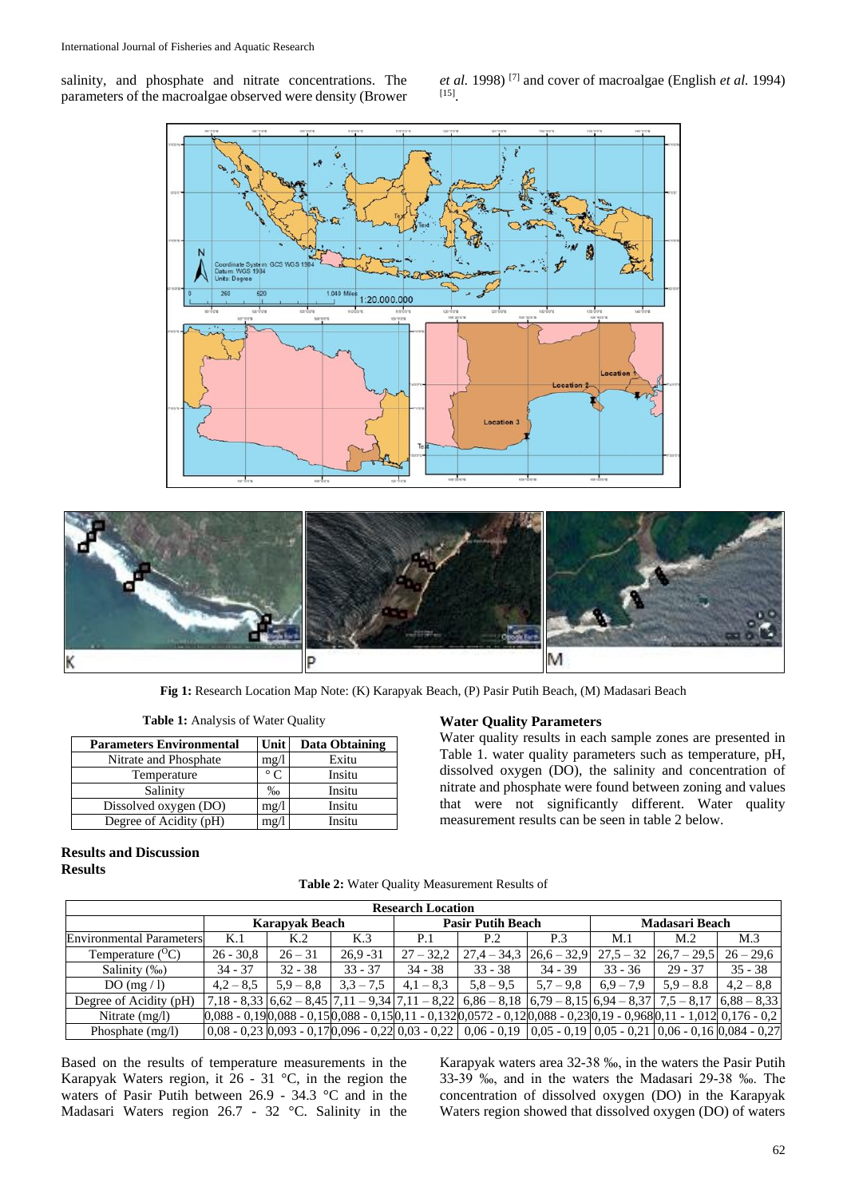salinity, and phosphate and nitrate concentrations. The parameters of the macroalgae observed were density (Brower *et al.* 1998) [7] and cover of macroalgae (English *et al.* 1994) [15] .





**Fig 1:** Research Location Map Note: (K) Karapyak Beach, (P) Pasir Putih Beach, (M) Madasari Beach

**Table 1:** Analysis of Water Quality

| <b>Parameters Environmental</b> | <b>Unit</b>       | Data Obtaining |
|---------------------------------|-------------------|----------------|
| Nitrate and Phosphate           | mg/l              | Exitu          |
| Temperature                     | $\circ$ $\subset$ | Insitu         |
| Salinity                        | $\%$ <sub>0</sub> | Insitu         |
| Dissolved oxygen (DO)           | mg/1              | Insitu         |
| Degree of Acidity (pH)          | mg/l              | Insitu         |

## **Water Quality Parameters**

Water quality results in each sample zones are presented in Table 1. water quality parameters such as temperature, pH, dissolved oxygen (DO), the salinity and concentration of nitrate and phosphate were found between zoning and values that were not significantly different. Water quality measurement results can be seen in table 2 below.

## **Results and Discussion Results**

| <b>Research Location</b>        |                       |             |             |                          |                                                                                                                                                    |               |                       |               |                 |  |
|---------------------------------|-----------------------|-------------|-------------|--------------------------|----------------------------------------------------------------------------------------------------------------------------------------------------|---------------|-----------------------|---------------|-----------------|--|
|                                 | <b>Karapyak Beach</b> |             |             | <b>Pasir Putih Beach</b> |                                                                                                                                                    |               | <b>Madasari Beach</b> |               |                 |  |
| <b>Environmental Parameters</b> | K.1                   | K.2         | K.3         | P.1                      | P.2                                                                                                                                                | P.3           | М.1                   | M.2           | M <sub>.3</sub> |  |
| Temperature $(^{O}C)$           | $26 - 30.8$           | $26 - 31$   | $26.9 - 31$ | $27 - 32.2$              | $27.4 - 34.3$                                                                                                                                      | $26.6 - 32.9$ | $27.5 - 32$           | $26.7 - 29.5$ | $26 - 29.6$     |  |
| Salinity (‰)                    | $34 - 37$             | $32 - 38$   | $33 - 37$   | $34 - 38$                | $33 - 38$                                                                                                                                          | $34 - 39$     | $33 - 36$             | $29 - 37$     | $35 - 38$       |  |
| DO(mg/l)                        | $4.2 - 8.5$           | $5.9 - 8.8$ | $3.3 - 7.5$ | $4.1 - 8.3$              | $5,8 - 9,5$                                                                                                                                        | $5.7 - 9.8$   | $6.9 - 7.9$           | $5.9 - 8.8$   | $4.2 - 8.8$     |  |
| Degree of Acidity (pH)          |                       |             |             |                          | $7,18 - 8,33$ $6,62 - 8,45$ $7,11 - 9,34$ $7,11 - 8,22$ $6,86 - 8,18$ $6,79 - 8,15$ $6,94 - 8,37$ $7,5 - 8,17$ $6,88 - 8,33$                       |               |                       |               |                 |  |
| Nitrate $(mg/l)$                |                       |             |             |                          | $0.088 - 0.190.088 - 0.150.088 - 0.150.11 - 0.1320.0572 - 0.120.088 - 0.230.19 - 0.9680.11 - 1.01210.176 - 0.2$                                    |               |                       |               |                 |  |
| Phosphate $(mg/l)$              |                       |             |             |                          | $(0.08 - 0.23)$ $(0.093 - 0.17)$ $(0.096 - 0.22)$ $(0.03 - 0.22)$ $(0.06 - 0.19)$ $(0.05 - 0.19)$ $(0.05 - 0.21)$ $(0.06 - 0.16)$ $(0.084 - 0.27)$ |               |                       |               |                 |  |

**Table 2:** Water Quality Measurement Results of

Based on the results of temperature measurements in the Karapyak Waters region, it  $26 - 31$  °C, in the region the waters of Pasir Putih between 26.9 - 34.3 °C and in the Madasari Waters region 26.7 - 32 °C. Salinity in the Karapyak waters area 32-38 ‰, in the waters the Pasir Putih 33-39 ‰, and in the waters the Madasari 29-38 ‰. The concentration of dissolved oxygen (DO) in the Karapyak Waters region showed that dissolved oxygen (DO) of waters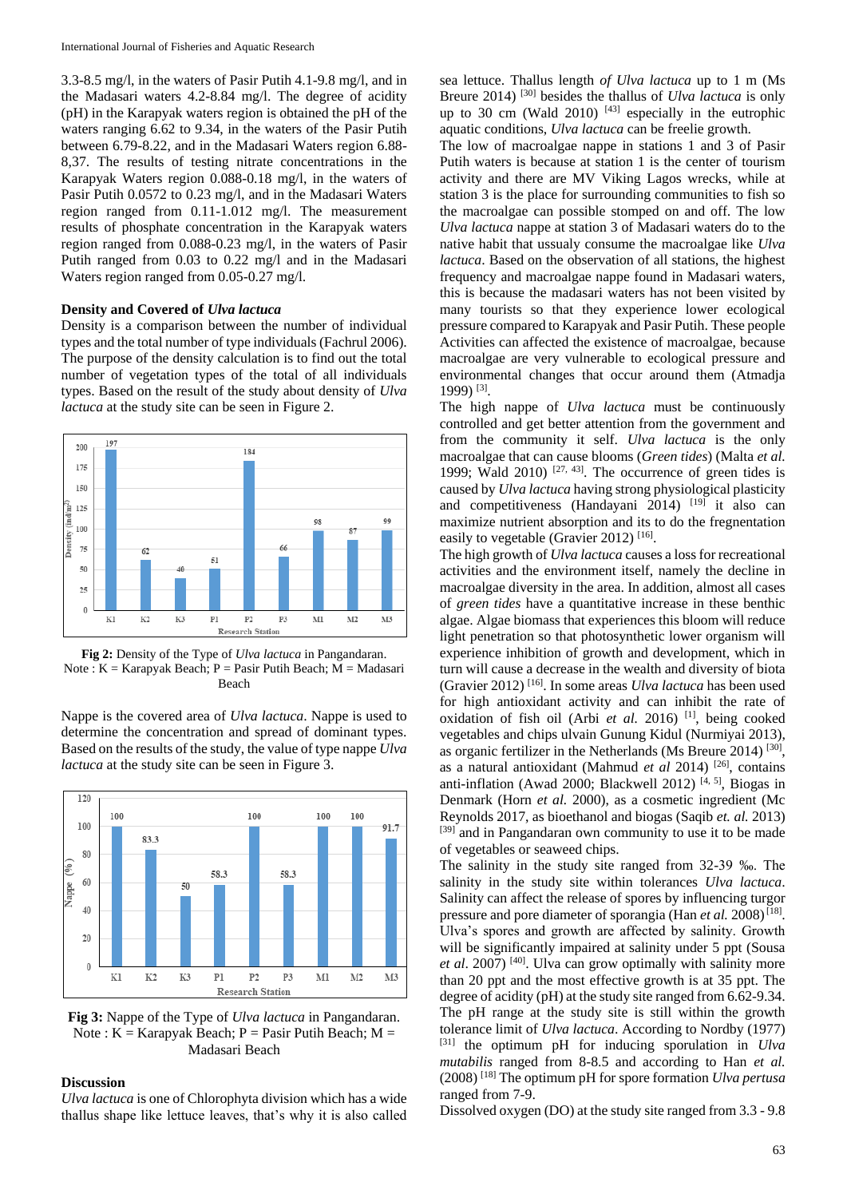3.3-8.5 mg/l, in the waters of Pasir Putih 4.1-9.8 mg/l, and in the Madasari waters 4.2-8.84 mg/l. The degree of acidity (pH) in the Karapyak waters region is obtained the pH of the waters ranging 6.62 to 9.34, in the waters of the Pasir Putih between 6.79-8.22, and in the Madasari Waters region 6.88- 8,37. The results of testing nitrate concentrations in the Karapyak Waters region 0.088-0.18 mg/l, in the waters of Pasir Putih 0.0572 to 0.23 mg/l, and in the Madasari Waters region ranged from 0.11-1.012 mg/l. The measurement results of phosphate concentration in the Karapyak waters region ranged from 0.088-0.23 mg/l, in the waters of Pasir Putih ranged from 0.03 to 0.22 mg/l and in the Madasari Waters region ranged from 0.05-0.27 mg/l.

#### **Density and Covered of** *Ulva lactuca*

Density is a comparison between the number of individual types and the total number of type individuals (Fachrul 2006). The purpose of the density calculation is to find out the total number of vegetation types of the total of all individuals types. Based on the result of the study about density of *Ulva lactuca* at the study site can be seen in Figure 2.



**Fig 2:** Density of the Type of *Ulva lactuca* in Pangandaran. Note :  $K =$  Karapyak Beach;  $P =$  Pasir Putih Beach;  $M =$  Madasari Beach

Nappe is the covered area of *Ulva lactuca*. Nappe is used to determine the concentration and spread of dominant types. Based on the results of the study, the value of type nappe *Ulva lactuca* at the study site can be seen in Figure 3.



**Fig 3:** Nappe of the Type of *Ulva lactuca* in Pangandaran. Note :  $K =$  Karapyak Beach;  $P =$  Pasir Putih Beach;  $M =$ Madasari Beach

## **Discussion**

*Ulva lactuca* is one of Chlorophyta division which has a wide thallus shape like lettuce leaves, that's why it is also called

sea lettuce. Thallus length *of Ulva lactuca* up to 1 m (Ms Breure 2014) [30] besides the thallus of *Ulva lactuca* is only up to 30 cm (Wald 2010)  $[43]$  especially in the eutrophic aquatic conditions, *Ulva lactuca* can be freelie growth.

The low of macroalgae nappe in stations 1 and 3 of Pasir Putih waters is because at station 1 is the center of tourism activity and there are MV Viking Lagos wrecks, while at station 3 is the place for surrounding communities to fish so the macroalgae can possible stomped on and off. The low *Ulva lactuca* nappe at station 3 of Madasari waters do to the native habit that ussualy consume the macroalgae like *Ulva lactuca*. Based on the observation of all stations, the highest frequency and macroalgae nappe found in Madasari waters, this is because the madasari waters has not been visited by many tourists so that they experience lower ecological pressure compared to Karapyak and Pasir Putih. These people Activities can affected the existence of macroalgae, because macroalgae are very vulnerable to ecological pressure and environmental changes that occur around them (Atmadja 1999) [3] .

The high nappe of *Ulva lactuca* must be continuously controlled and get better attention from the government and from the community it self. *Ulva lactuca* is the only macroalgae that can cause blooms (*Green tides*) (Malta *et al.* 1999; Wald 2010)  $[27, 43]$ . The occurrence of green tides is caused by *Ulva lactuca* having strong physiological plasticity and competitiveness (Handayani 2014) [19] it also can maximize nutrient absorption and its to do the fregnentation easily to vegetable (Gravier 2012)<sup>[16]</sup>.

The high growth of *Ulva lactuca* causes a loss for recreational activities and the environment itself, namely the decline in macroalgae diversity in the area. In addition, almost all cases of *green tides* have a quantitative increase in these benthic algae. Algae biomass that experiences this bloom will reduce light penetration so that photosynthetic lower organism will experience inhibition of growth and development, which in turn will cause a decrease in the wealth and diversity of biota (Gravier 2012) [16]. In some areas *Ulva lactuca* has been used for high antioxidant activity and can inhibit the rate of oxidation of fish oil (Arbi *et al.* 2016) [1], being cooked vegetables and chips ulvain Gunung Kidul (Nurmiyai 2013), as organic fertilizer in the Netherlands (Ms Breure 2014)<sup>[30]</sup>, as a natural antioxidant (Mahmud *et al* 2014) [26], contains anti-inflation (Awad 2000; Blackwell 2012)<sup>[4, 5]</sup>, Biogas in Denmark (Horn *et al.* 2000), as a cosmetic ingredient (Mc Reynolds 2017, as bioethanol and biogas (Saqib *et. al.* 2013) [39] and in Pangandaran own community to use it to be made of vegetables or seaweed chips.

The salinity in the study site ranged from 32-39 ‰. The salinity in the study site within tolerances *Ulva lactuca*. Salinity can affect the release of spores by influencing turgor pressure and pore diameter of sporangia (Han *et al.* 2008)<sup>[18]</sup>. Ulva's spores and growth are affected by salinity. Growth will be significantly impaired at salinity under 5 ppt (Sousa *et al*. 2007) [40]. Ulva can grow optimally with salinity more than 20 ppt and the most effective growth is at 35 ppt. The degree of acidity (pH) at the study site ranged from 6.62-9.34. The pH range at the study site is still within the growth tolerance limit of *Ulva lactuca*. According to Nordby (1977) [31] the optimum pH for inducing sporulation in *Ulva mutabilis* ranged from 8-8.5 and according to Han *et al.* (2008) [18] The optimum pH for spore formation *Ulva pertusa* ranged from 7-9.

Dissolved oxygen (DO) at the study site ranged from 3.3 - 9.8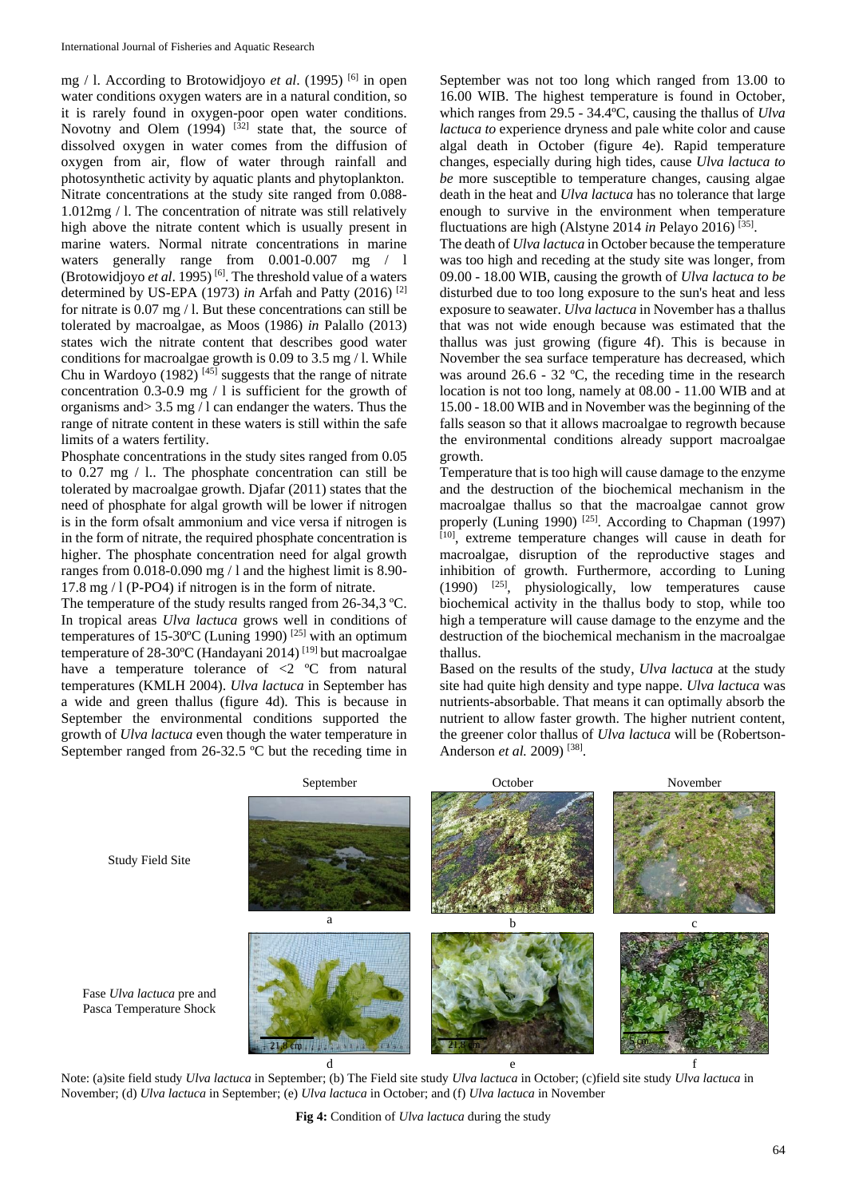mg / l. According to Brotowidjoyo *et al*. (1995) [6] in open water conditions oxygen waters are in a natural condition, so it is rarely found in oxygen-poor open water conditions. Novotny and Olem  $(1994)$   $[32]$  state that, the source of dissolved oxygen in water comes from the diffusion of oxygen from air, flow of water through rainfall and photosynthetic activity by aquatic plants and phytoplankton. Nitrate concentrations at the study site ranged from 0.088- 1.012mg / l. The concentration of nitrate was still relatively high above the nitrate content which is usually present in marine waters. Normal nitrate concentrations in marine waters generally range from 0.001-0.007 mg / 1 (Brotowidjoyo *et al*. 1995) [6]. The threshold value of a waters determined by US-EPA (1973) *in* Arfah and Patty (2016) [2] for nitrate is 0.07 mg / l. But these concentrations can still be tolerated by macroalgae, as Moos (1986) *in* Palallo (2013) states wich the nitrate content that describes good water conditions for macroalgae growth is 0.09 to 3.5 mg / l. While Chu in Wardoyo (1982)  $[45]$  suggests that the range of nitrate concentration 0.3-0.9 mg / l is sufficient for the growth of organisms and> 3.5 mg / l can endanger the waters. Thus the range of nitrate content in these waters is still within the safe limits of a waters fertility.

Phosphate concentrations in the study sites ranged from 0.05 to 0.27 mg / l.. The phosphate concentration can still be tolerated by macroalgae growth. Djafar (2011) states that the need of phosphate for algal growth will be lower if nitrogen is in the form ofsalt ammonium and vice versa if nitrogen is in the form of nitrate, the required phosphate concentration is higher. The phosphate concentration need for algal growth ranges from 0.018-0.090 mg / l and the highest limit is 8.90- 17.8 mg / l (P-PO4) if nitrogen is in the form of nitrate.

The temperature of the study results ranged from 26-34,3 ºC. In tropical areas *Ulva lactuca* grows well in conditions of temperatures of 15-30ºC (Luning 1990) [25] with an optimum temperature of 28-30ºC (Handayani 2014) [19] but macroalgae have a temperature tolerance of <2 °C from natural temperatures (KMLH 2004). *Ulva lactuca* in September has a wide and green thallus (figure 4d). This is because in September the environmental conditions supported the growth of *Ulva lactuca* even though the water temperature in September ranged from 26-32.5 ºC but the receding time in

September was not too long which ranged from 13.00 to 16.00 WIB. The highest temperature is found in October, which ranges from 29.5 - 34.4ºC, causing the thallus of *Ulva lactuca to* experience dryness and pale white color and cause algal death in October (figure 4e). Rapid temperature changes, especially during high tides, cause *Ulva lactuca to be* more susceptible to temperature changes, causing algae death in the heat and *Ulva lactuca* has no tolerance that large enough to survive in the environment when temperature fluctuations are high (Alstyne 2014 in Pelayo 2016)<sup>[35]</sup>.

The death of *Ulva lactuca* in October because the temperature was too high and receding at the study site was longer, from 09.00 - 18.00 WIB, causing the growth of *Ulva lactuca to be*  disturbed due to too long exposure to the sun's heat and less exposure to seawater. *Ulva lactuca* in November has a thallus that was not wide enough because was estimated that the thallus was just growing (figure 4f). This is because in November the sea surface temperature has decreased, which was around 26.6 - 32 ºC, the receding time in the research location is not too long, namely at 08.00 - 11.00 WIB and at 15.00 - 18.00 WIB and in November was the beginning of the falls season so that it allows macroalgae to regrowth because the environmental conditions already support macroalgae growth.

Temperature that is too high will cause damage to the enzyme and the destruction of the biochemical mechanism in the macroalgae thallus so that the macroalgae cannot grow properly (Luning 1990) <sup>[25]</sup>. According to Chapman (1997) [10], extreme temperature changes will cause in death for macroalgae, disruption of the reproductive stages and inhibition of growth. Furthermore, according to Luning  $(1990)$  <sup>[25]</sup>, physiologically, low temperatures cause biochemical activity in the thallus body to stop, while too high a temperature will cause damage to the enzyme and the destruction of the biochemical mechanism in the macroalgae thallus.

Based on the results of the study, *Ulva lactuca* at the study site had quite high density and type nappe. *Ulva lactuca* was nutrients-absorbable. That means it can optimally absorb the nutrient to allow faster growth. The higher nutrient content, the greener color thallus of *Ulva lactuca* will be (Robertson-Anderson *et al.* 2009)<sup>[38]</sup>.



Study Field Site

Note: (a)site field study *Ulva lactuca* in September; (b) The Field site study *Ulva lactuca* in October; (c)field site study *Ulva lactuca* in November; (d) *Ulva lactuca* in September; (e) *Ulva lactuca* in October; and (f) *Ulva lactuca* in November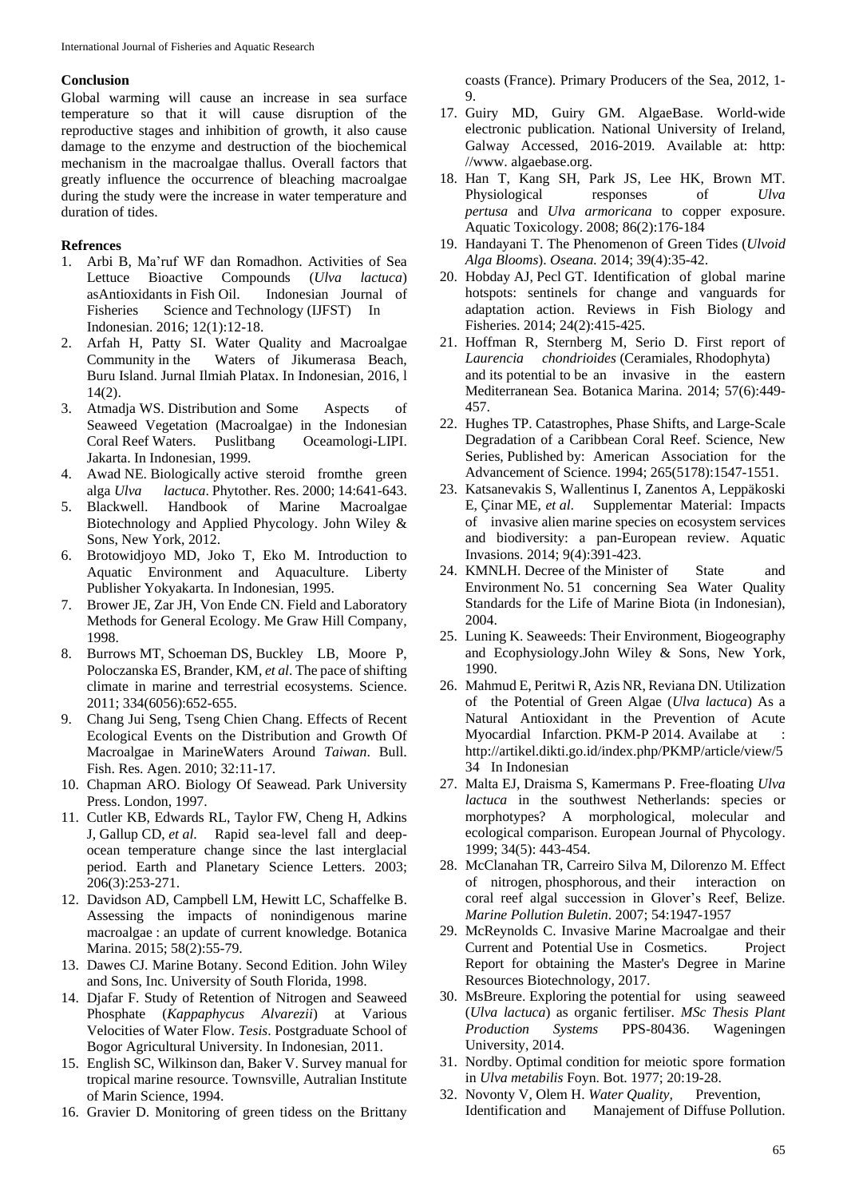## **Conclusion**

Global warming will cause an increase in sea surface temperature so that it will cause disruption of the reproductive stages and inhibition of growth, it also cause damage to the enzyme and destruction of the biochemical mechanism in the macroalgae thallus. Overall factors that greatly influence the occurrence of bleaching macroalgae during the study were the increase in water temperature and duration of tides.

## **Refrences**

- 1. Arbi B, Ma'ruf WF dan Romadhon. Activities of Sea Lettuce Bioactive Compounds (*Ulva lactuca*) asAntioxidants in Fish Oil. Indonesian Journal of Fisheries Science and Technology (IJFST) In Indonesian. 2016; 12(1):12-18.
- 2. Arfah H, Patty SI. Water Quality and Macroalgae Community in the Waters of Jikumerasa Beach, Buru Island. Jurnal Ilmiah Platax. In Indonesian, 2016, l 14(2).
- 3. Atmadja WS. Distribution and Some Aspects of Seaweed Vegetation (Macroalgae) in the Indonesian Coral Reef Waters. Puslitbang Oceamologi-LIPI. Jakarta. In Indonesian, 1999.
- 4. Awad NE. Biologically active steroid fromthe green alga *Ulva lactuca*. Phytother. Res. 2000; 14:641-643.
- 5. Blackwell. Handbook of Marine Macroalgae Biotechnology and Applied Phycology. John Wiley & Sons, New York, 2012.
- 6. Brotowidjoyo MD, Joko T, Eko M. Introduction to Aquatic Environment and Aquaculture. Liberty Publisher Yokyakarta. In Indonesian, 1995.
- 7. Brower JE, Zar JH, Von Ende CN. Field and Laboratory Methods for General Ecology. Me Graw Hill Company, 1998.
- 8. Burrows MT, Schoeman DS, Buckley LB, Moore P, Poloczanska ES, Brander, KM, *et al*. The pace of shifting climate in marine and terrestrial ecosystems. Science. 2011; 334(6056):652-655.
- 9. Chang Jui Seng, Tseng Chien Chang. Effects of Recent Ecological Events on the Distribution and Growth Of Macroalgae in MarineWaters Around *Taiwan*. Bull. Fish. Res. Agen. 2010; 32:11-17.
- 10. Chapman ARO. Biology Of Seawead. Park University Press. London, 1997.
- 11. Cutler KB, Edwards RL, Taylor FW, Cheng H, Adkins J, Gallup CD, *et al*. Rapid sea-level fall and deepocean temperature change since the last interglacial period. Earth and Planetary Science Letters. 2003; 206(3):253-271.
- 12. Davidson AD, Campbell LM, Hewitt LC, Schaffelke B. Assessing the impacts of nonindigenous marine macroalgae : an update of current knowledge. Botanica Marina. 2015; 58(2):55-79.
- 13. Dawes CJ. Marine Botany. Second Edition. John Wiley and Sons, Inc. University of South Florida, 1998.
- 14. Djafar F. Study of Retention of Nitrogen and Seaweed Phosphate (*Kappaphycus Alvarezii*) at Various Velocities of Water Flow. *Tesis*. Postgraduate School of Bogor Agricultural University. In Indonesian, 2011.
- 15. English SC, Wilkinson dan, Baker V. Survey manual for tropical marine resource. Townsville, Autralian Institute of Marin Science, 1994.
- 16. Gravier D. Monitoring of green tidess on the Brittany

coasts (France). Primary Producers of the Sea, 2012, 1- 9.

- 17. Guiry MD, Guiry GM. AlgaeBase. World-wide electronic publication. National University of Ireland, Galway Accessed, 2016-2019. Available at: http: //www. algaebase.org.
- 18. Han T, Kang SH, Park JS, Lee HK, Brown MT. Physiological responses of *Ulva pertusa* and *Ulva armoricana* to copper exposure. Aquatic Toxicology. 2008; 86(2):176-184
- 19. Handayani T. The Phenomenon of Green Tides (*Ulvoid Alga Blooms*). *Oseana.* 2014; 39(4):35-42.
- 20. Hobday AJ, Pecl GT. Identification of global marine hotspots: sentinels for change and vanguards for adaptation action. Reviews in Fish Biology and Fisheries. 2014; 24(2):415-425.
- 21. Hoffman R, Sternberg M, Serio D. First report of *Laurencia chondrioides* (Ceramiales, Rhodophyta) and its potential to be an invasive in the eastern Mediterranean Sea. Botanica Marina. 2014; 57(6):449- 457.
- 22. Hughes TP. Catastrophes, Phase Shifts, and Large-Scale Degradation of a Caribbean Coral Reef. Science, New Series, Published by: American Association for the Advancement of Science. 1994; 265(5178):1547-1551.
- 23. Katsanevakis S, Wallentinus I, Zanentos A, Leppäkoski E, Çinar ME, *et al*. Supplementar Material: Impacts of invasive alien marine species on ecosystem services and biodiversity: a pan-European review. Aquatic Invasions. 2014; 9(4):391-423.
- 24. KMNLH. Decree of the Minister of State and Environment No. 51 concerning Sea Water Quality Standards for the Life of Marine Biota (in Indonesian), 2004.
- 25. Luning K. Seaweeds: Their Environment, Biogeography and Ecophysiology.John Wiley & Sons, New York, 1990.
- 26. Mahmud E, Peritwi R, Azis NR, Reviana DN. Utilization of the Potential of Green Algae (*Ulva lactuca*) As a Natural Antioxidant in the Prevention of Acute Myocardial Infarction. PKM-P 2014. Availabe at : http://artikel.dikti.go.id/index.php/PKMP/article/view/5 34 In Indonesian
- 27. Malta EJ, Draisma S, Kamermans P. Free-floating *Ulva lactuca* in the southwest Netherlands: species or morphotypes? A morphological, molecular and ecological comparison. European Journal of Phycology. 1999; 34(5): 443-454.
- 28. McClanahan TR, Carreiro Silva M, Dilorenzo M. Effect of nitrogen, phosphorous, and their interaction on coral reef algal succession in Glover's Reef, Belize. *Marine Pollution Buletin*. 2007; 54:1947-1957
- 29. McReynolds C. Invasive Marine Macroalgae and their Current and Potential Use in Cosmetics. Project Report for obtaining the Master's Degree in Marine Resources Biotechnology*,* 2017.
- 30. MsBreure. Exploring the potential for using seaweed (*Ulva lactuca*) as organic fertiliser. *MSc Thesis Plant Production Systems* PPS-80436. Wageningen University, 2014.
- 31. Nordby. Optimal condition for meiotic spore formation in *Ulva metabilis* Foyn. Bot. 1977; 20:19-28.
- 32. Novonty V, Olem H. *Water Quality,* Prevention, Identification and Manajement of Diffuse Pollution.